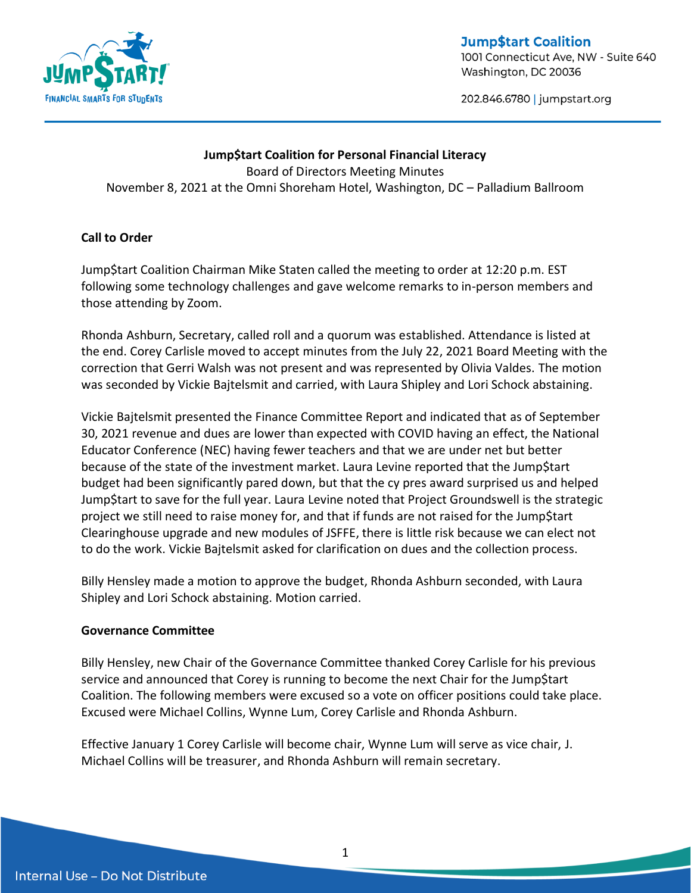

**Jump\$tart Coalition** 1001 Connecticut Ave, NW - Suite 640 Washington, DC 20036

202.846.6780 | jumpstart.org

# **Jump\$tart Coalition for Personal Financial Literacy** Board of Directors Meeting Minutes November 8, 2021 at the Omni Shoreham Hotel, Washington, DC – Palladium Ballroom

### **Call to Order**

Jump\$tart Coalition Chairman Mike Staten called the meeting to order at 12:20 p.m. EST following some technology challenges and gave welcome remarks to in-person members and those attending by Zoom.

Rhonda Ashburn, Secretary, called roll and a quorum was established. Attendance is listed at the end. Corey Carlisle moved to accept minutes from the July 22, 2021 Board Meeting with the correction that Gerri Walsh was not present and was represented by Olivia Valdes. The motion was seconded by Vickie Bajtelsmit and carried, with Laura Shipley and Lori Schock abstaining.

Vickie Bajtelsmit presented the Finance Committee Report and indicated that as of September 30, 2021 revenue and dues are lower than expected with COVID having an effect, the National Educator Conference (NEC) having fewer teachers and that we are under net but better because of the state of the investment market. Laura Levine reported that the Jump\$tart budget had been significantly pared down, but that the cy pres award surprised us and helped Jump\$tart to save for the full year. Laura Levine noted that Project Groundswell is the strategic project we still need to raise money for, and that if funds are not raised for the Jump\$tart Clearinghouse upgrade and new modules of JSFFE, there is little risk because we can elect not to do the work. Vickie Bajtelsmit asked for clarification on dues and the collection process.

Billy Hensley made a motion to approve the budget, Rhonda Ashburn seconded, with Laura Shipley and Lori Schock abstaining. Motion carried.

### **Governance Committee**

Billy Hensley, new Chair of the Governance Committee thanked Corey Carlisle for his previous service and announced that Corey is running to become the next Chair for the Jump\$tart Coalition. The following members were excused so a vote on officer positions could take place. Excused were Michael Collins, Wynne Lum, Corey Carlisle and Rhonda Ashburn.

Effective January 1 Corey Carlisle will become chair, Wynne Lum will serve as vice chair, J. Michael Collins will be treasurer, and Rhonda Ashburn will remain secretary.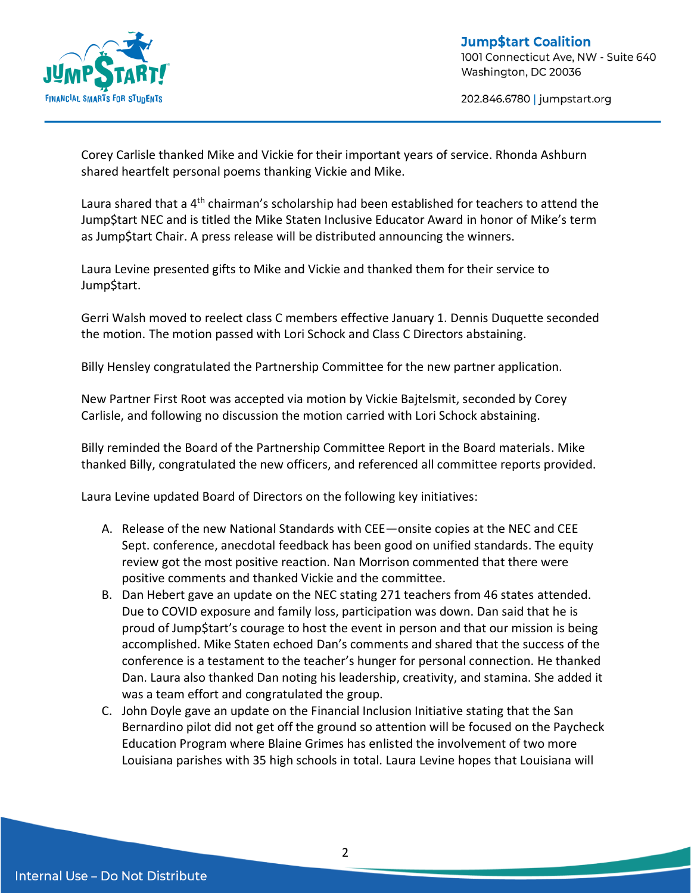

202.846.6780 | jumpstart.org

Corey Carlisle thanked Mike and Vickie for their important years of service. Rhonda Ashburn shared heartfelt personal poems thanking Vickie and Mike.

Laura shared that a 4<sup>th</sup> chairman's scholarship had been established for teachers to attend the Jump\$tart NEC and is titled the Mike Staten Inclusive Educator Award in honor of Mike's term as Jump\$tart Chair. A press release will be distributed announcing the winners.

Laura Levine presented gifts to Mike and Vickie and thanked them for their service to Jump\$tart.

Gerri Walsh moved to reelect class C members effective January 1. Dennis Duquette seconded the motion. The motion passed with Lori Schock and Class C Directors abstaining.

Billy Hensley congratulated the Partnership Committee for the new partner application.

New Partner First Root was accepted via motion by Vickie Bajtelsmit, seconded by Corey Carlisle, and following no discussion the motion carried with Lori Schock abstaining.

Billy reminded the Board of the Partnership Committee Report in the Board materials. Mike thanked Billy, congratulated the new officers, and referenced all committee reports provided.

Laura Levine updated Board of Directors on the following key initiatives:

- A. Release of the new National Standards with CEE—onsite copies at the NEC and CEE Sept. conference, anecdotal feedback has been good on unified standards. The equity review got the most positive reaction. Nan Morrison commented that there were positive comments and thanked Vickie and the committee.
- B. Dan Hebert gave an update on the NEC stating 271 teachers from 46 states attended. Due to COVID exposure and family loss, participation was down. Dan said that he is proud of Jump\$tart's courage to host the event in person and that our mission is being accomplished. Mike Staten echoed Dan's comments and shared that the success of the conference is a testament to the teacher's hunger for personal connection. He thanked Dan. Laura also thanked Dan noting his leadership, creativity, and stamina. She added it was a team effort and congratulated the group.
- C. John Doyle gave an update on the Financial Inclusion Initiative stating that the San Bernardino pilot did not get off the ground so attention will be focused on the Paycheck Education Program where Blaine Grimes has enlisted the involvement of two more Louisiana parishes with 35 high schools in total. Laura Levine hopes that Louisiana will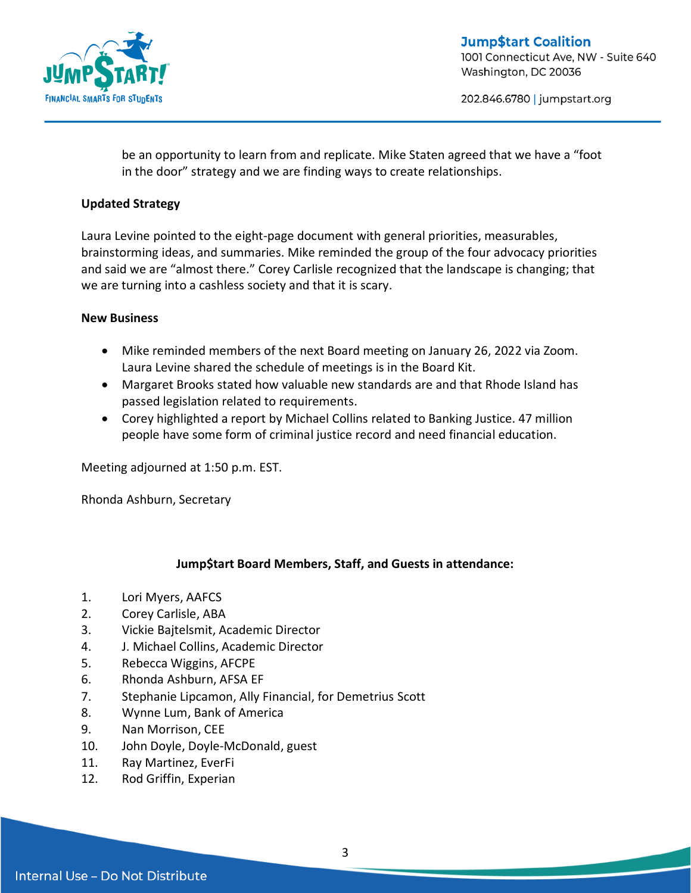

202.846.6780 | jumpstart.org

be an opportunity to learn from and replicate. Mike Staten agreed that we have a "foot in the door" strategy and we are finding ways to create relationships.

### **Updated Strategy**

Laura Levine pointed to the eight-page document with general priorities, measurables, brainstorming ideas, and summaries. Mike reminded the group of the four advocacy priorities and said we are "almost there." Corey Carlisle recognized that the landscape is changing; that we are turning into a cashless society and that it is scary.

#### **New Business**

- Mike reminded members of the next Board meeting on January 26, 2022 via Zoom. Laura Levine shared the schedule of meetings is in the Board Kit.
- Margaret Brooks stated how valuable new standards are and that Rhode Island has passed legislation related to requirements.
- Corey highlighted a report by Michael Collins related to Banking Justice. 47 million people have some form of criminal justice record and need financial education.

Meeting adjourned at 1:50 p.m. EST.

Rhonda Ashburn, Secretary

# **Jump\$tart Board Members, Staff, and Guests in attendance:**

- 1. Lori Myers, AAFCS
- 2. Corey Carlisle, ABA
- 3. Vickie Bajtelsmit, Academic Director
- 4. J. Michael Collins, Academic Director
- 5. Rebecca Wiggins, AFCPE
- 6. Rhonda Ashburn, AFSA EF
- 7. Stephanie Lipcamon, Ally Financial, for Demetrius Scott
- 8. Wynne Lum, Bank of America
- 9. Nan Morrison, CEE
- 10. John Doyle, Doyle-McDonald, guest
- 11. Ray Martinez, EverFi
- 12. Rod Griffin, Experian